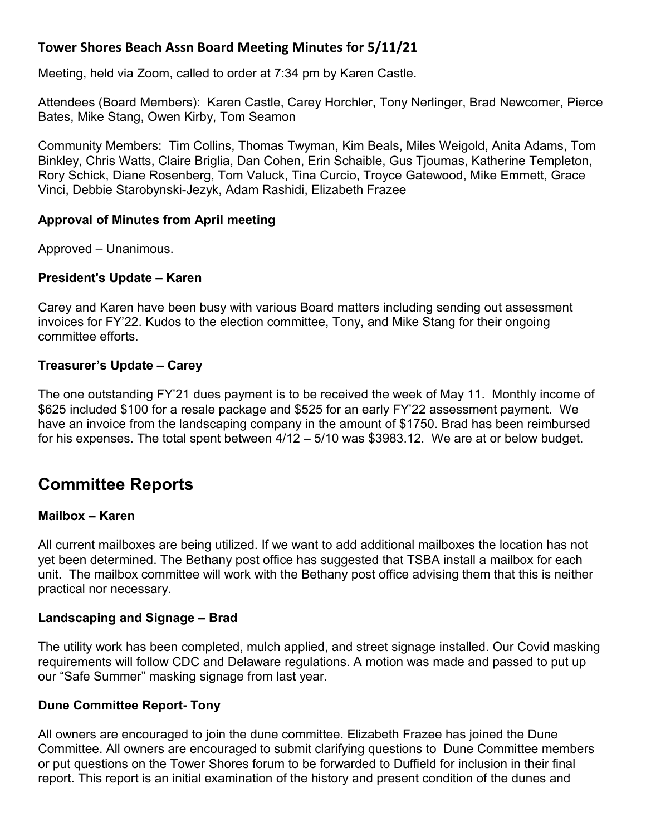# **Tower Shores Beach Assn Board Meeting Minutes for 5/11/21**

Meeting, held via Zoom, called to order at 7:34 pm by Karen Castle.

Attendees (Board Members): Karen Castle, Carey Horchler, Tony Nerlinger, Brad Newcomer, Pierce Bates, Mike Stang, Owen Kirby, Tom Seamon

Community Members: Tim Collins, Thomas Twyman, Kim Beals, Miles Weigold, Anita Adams, Tom Binkley, Chris Watts, Claire Briglia, Dan Cohen, Erin Schaible, Gus Tjoumas, Katherine Templeton, Rory Schick, Diane Rosenberg, Tom Valuck, Tina Curcio, Troyce Gatewood, Mike Emmett, Grace Vinci, Debbie Starobynski-Jezyk, Adam Rashidi, Elizabeth Frazee

# **Approval of Minutes from April meeting**

Approved – Unanimous.

# **President's Update – Karen**

Carey and Karen have been busy with various Board matters including sending out assessment invoices for FY'22. Kudos to the election committee, Tony, and Mike Stang for their ongoing committee efforts.

# **Treasurer's Update – Carey**

The one outstanding FY'21 dues payment is to be received the week of May 11. Monthly income of \$625 included \$100 for a resale package and \$525 for an early FY'22 assessment payment. We have an invoice from the landscaping company in the amount of \$1750. Brad has been reimbursed for his expenses. The total spent between 4/12 – 5/10 was \$3983.12. We are at or below budget.

# **Committee Reports**

#### **Mailbox – Karen**

All current mailboxes are being utilized. If we want to add additional mailboxes the location has not yet been determined. The Bethany post office has suggested that TSBA install a mailbox for each unit. The mailbox committee will work with the Bethany post office advising them that this is neither practical nor necessary.

# **Landscaping and Signage – Brad**

The utility work has been completed, mulch applied, and street signage installed. Our Covid masking requirements will follow CDC and Delaware regulations. A motion was made and passed to put up our "Safe Summer" masking signage from last year.

#### **Dune Committee Report- Tony**

All owners are encouraged to join the dune committee. Elizabeth Frazee has joined the Dune Committee. All owners are encouraged to submit clarifying questions to Dune Committee members or put questions on the Tower Shores forum to be forwarded to Duffield for inclusion in their final report. This report is an initial examination of the history and present condition of the dunes and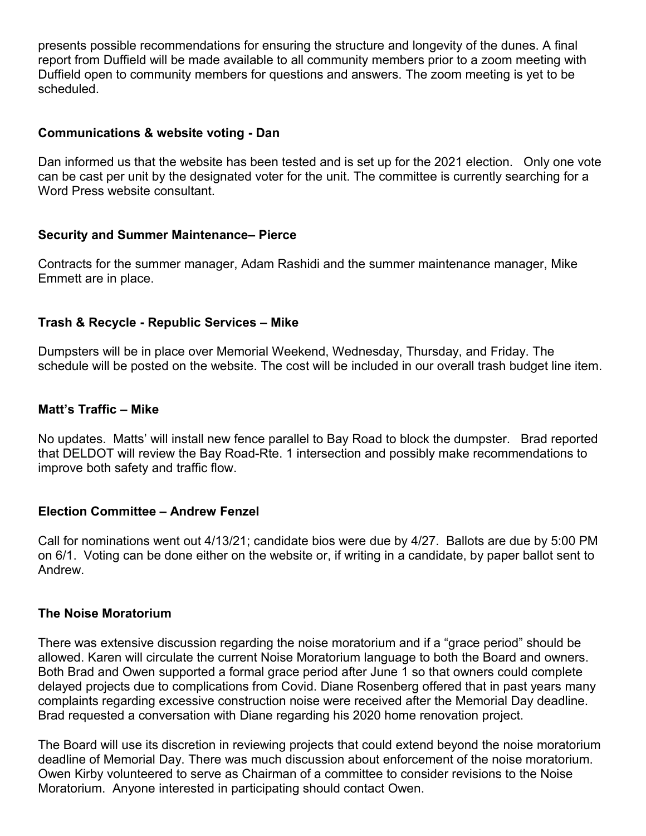presents possible recommendations for ensuring the structure and longevity of the dunes. A final report from Duffield will be made available to all community members prior to a zoom meeting with Duffield open to community members for questions and answers. The zoom meeting is yet to be scheduled.

#### **Communications & website voting - Dan**

Dan informed us that the website has been tested and is set up for the 2021 election. Only one vote can be cast per unit by the designated voter for the unit. The committee is currently searching for a Word Press website consultant.

# **Security and Summer Maintenance– Pierce**

Contracts for the summer manager, Adam Rashidi and the summer maintenance manager, Mike Emmett are in place.

# **Trash & Recycle - Republic Services – Mike**

Dumpsters will be in place over Memorial Weekend, Wednesday, Thursday, and Friday. The schedule will be posted on the website. The cost will be included in our overall trash budget line item.

# **Matt's Traffic – Mike**

No updates. Matts' will install new fence parallel to Bay Road to block the dumpster. Brad reported that DELDOT will review the Bay Road-Rte. 1 intersection and possibly make recommendations to improve both safety and traffic flow.

#### **Election Committee – Andrew Fenzel**

Call for nominations went out 4/13/21; candidate bios were due by 4/27. Ballots are due by 5:00 PM on 6/1. Voting can be done either on the website or, if writing in a candidate, by paper ballot sent to Andrew.

#### **The Noise Moratorium**

There was extensive discussion regarding the noise moratorium and if a "grace period" should be allowed. Karen will circulate the current Noise Moratorium language to both the Board and owners. Both Brad and Owen supported a formal grace period after June 1 so that owners could complete delayed projects due to complications from Covid. Diane Rosenberg offered that in past years many complaints regarding excessive construction noise were received after the Memorial Day deadline. Brad requested a conversation with Diane regarding his 2020 home renovation project.

The Board will use its discretion in reviewing projects that could extend beyond the noise moratorium deadline of Memorial Day. There was much discussion about enforcement of the noise moratorium. Owen Kirby volunteered to serve as Chairman of a committee to consider revisions to the Noise Moratorium. Anyone interested in participating should contact Owen.